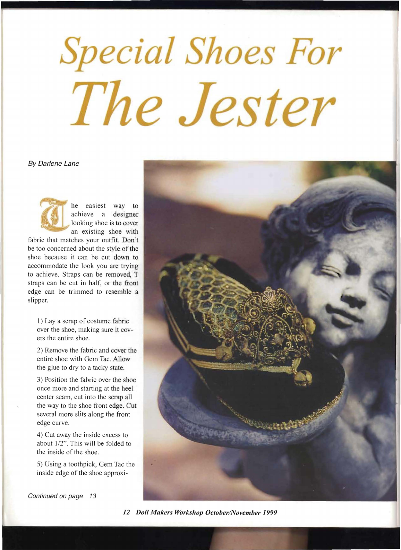## **Special Shoes For** The Jester

## By Darlene Lane



he easiest way to achieve a designer looking shoe is to cover an existing shoe with

fabric that matches your outfit. Don't be too concerned about the style of the shoe because it can be cut down to accommodate the look you are trying to achieve. Straps can be removed, T straps can be cut in half, or the front edge can be trimmed to resemble a slipper.

1) Lay a scrap of costume fabric over the shoe, making sure it cov ers the entire shoe.

2) Remove the fabric and cover the entire shoe with Gem Tac. Allow the glue to dry to a tacky state.

3) Position the fabric over the shoe once more and starting at the heel center seam, cut into the scrap all the way to the shoe front edge. Cut several more slits along the front edge curve.

4) Cut away the inside excess to about 1/2". This will be folded to the inside of the shoe.

5) Using a toothpick, Gem Tac the inside edge of the shoe approxi-



Continued on page 13

*12 Doll Makers Workshop OctoberlNovember 1999*